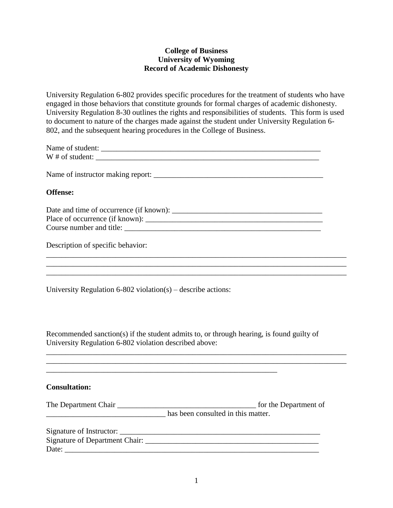# **College of Business University of Wyoming Record of Academic Dishonesty**

University Regulation 6-802 provides specific procedures for the treatment of students who have engaged in those behaviors that constitute grounds for formal charges of academic dishonesty. University Regulation 8-30 outlines the rights and responsibilities of students. This form is used to document to nature of the charges made against the student under University Regulation 6- 802, and the subsequent hearing procedures in the College of Business.

| Name of student: |  |
|------------------|--|
| W # of student:  |  |

Name of instructor making report: \_\_\_\_\_\_\_\_\_\_\_\_\_\_\_\_\_\_\_\_\_\_\_\_\_\_\_\_\_\_\_\_\_\_\_\_\_\_\_\_\_\_\_\_

## **Offense:**

| Date and time of occurrence (if known): |
|-----------------------------------------|
| Place of occurrence (if known):         |
| Course number and title:                |

\_\_\_\_\_\_\_\_\_\_\_\_\_\_\_\_\_\_\_\_\_\_\_\_\_\_\_\_\_\_\_\_\_\_\_\_\_\_\_\_\_\_\_\_\_\_\_\_\_\_\_\_\_\_\_\_\_\_\_\_\_\_\_\_\_\_\_\_\_\_\_\_\_\_\_\_\_\_  $\mathcal{L}_\text{max} = \frac{1}{2} \sum_{i=1}^n \frac{1}{2} \sum_{j=1}^n \frac{1}{2} \sum_{j=1}^n \frac{1}{2} \sum_{j=1}^n \frac{1}{2} \sum_{j=1}^n \frac{1}{2} \sum_{j=1}^n \frac{1}{2} \sum_{j=1}^n \frac{1}{2} \sum_{j=1}^n \frac{1}{2} \sum_{j=1}^n \frac{1}{2} \sum_{j=1}^n \frac{1}{2} \sum_{j=1}^n \frac{1}{2} \sum_{j=1}^n \frac{1}{2} \sum_{j=1}^n$  $\mathcal{L}_\text{max} = \mathcal{L}_\text{max} = \mathcal{L}_\text{max} = \mathcal{L}_\text{max} = \mathcal{L}_\text{max} = \mathcal{L}_\text{max} = \mathcal{L}_\text{max}$ 

Description of specific behavior:

University Regulation 6-802 violation(s) – describe actions:

Recommended sanction(s) if the student admits to, or through hearing, is found guilty of University Regulation 6-802 violation described above:

\_\_\_\_\_\_\_\_\_\_\_\_\_\_\_\_\_\_\_\_\_\_\_\_\_\_\_\_\_\_\_\_\_\_\_\_\_\_\_\_\_\_\_\_\_\_\_\_\_\_\_\_\_\_\_\_\_\_\_\_\_\_\_\_\_\_\_\_\_\_\_\_\_\_\_\_\_\_ \_\_\_\_\_\_\_\_\_\_\_\_\_\_\_\_\_\_\_\_\_\_\_\_\_\_\_\_\_\_\_\_\_\_\_\_\_\_\_\_\_\_\_\_\_\_\_\_\_\_\_\_\_\_\_\_\_\_\_\_\_\_\_\_\_\_\_\_\_\_\_\_\_\_\_\_\_\_

#### **Consultation:**

| The Department Chair | for the Department of              |
|----------------------|------------------------------------|
|                      | has been consulted in this matter. |
|                      |                                    |
|                      |                                    |
| Date:                |                                    |